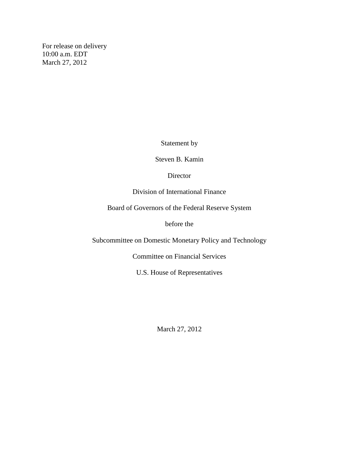For release on delivery 10:00 a.m. EDT March 27, 2012

Statement by

Steven B. Kamin

**Director** 

Division of International Finance

Board of Governors of the Federal Reserve System

before the

Subcommittee on Domestic Monetary Policy and Technology

Committee on Financial Services

U.S. House of Representatives

March 27, 2012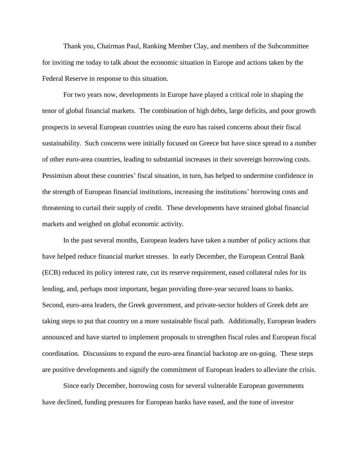Thank you, Chairman Paul, Ranking Member Clay, and members of the Subcommittee for inviting me today to talk about the economic situation in Europe and actions taken by the Federal Reserve in response to this situation.

For two years now, developments in Europe have played a critical role in shaping the tenor of global financial markets. The combination of high debts, large deficits, and poor growth prospects in several European countries using the euro has raised concerns about their fiscal sustainability. Such concerns were initially focused on Greece but have since spread to a number of other euro-area countries, leading to substantial increases in their sovereign borrowing costs. Pessimism about these countries' fiscal situation, in turn, has helped to undermine confidence in the strength of European financial institutions, increasing the institutions' borrowing costs and threatening to curtail their supply of credit. These developments have strained global financial markets and weighed on global economic activity.

In the past several months, European leaders have taken a number of policy actions that have helped reduce financial market stresses. In early December, the European Central Bank (ECB) reduced its policy interest rate, cut its reserve requirement, eased collateral rules for its lending, and, perhaps most important, began providing three-year secured loans to banks. Second, euro-area leaders, the Greek government, and private-sector holders of Greek debt are taking steps to put that country on a more sustainable fiscal path. Additionally, European leaders announced and have started to implement proposals to strengthen fiscal rules and European fiscal coordination. Discussions to expand the euro-area financial backstop are on-going. These steps are positive developments and signify the commitment of European leaders to alleviate the crisis.

Since early December, borrowing costs for several vulnerable European governments have declined, funding pressures for European banks have eased, and the tone of investor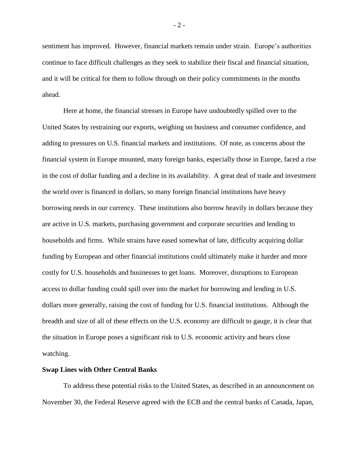sentiment has improved. However, financial markets remain under strain. Europe's authorities continue to face difficult challenges as they seek to stabilize their fiscal and financial situation, and it will be critical for them to follow through on their policy commitments in the months ahead.

Here at home, the financial stresses in Europe have undoubtedly spilled over to the United States by restraining our exports, weighing on business and consumer confidence, and adding to pressures on U.S. financial markets and institutions. Of note, as concerns about the financial system in Europe mounted, many foreign banks, especially those in Europe, faced a rise in the cost of dollar funding and a decline in its availability. A great deal of trade and investment the world over is financed in dollars, so many foreign financial institutions have heavy borrowing needs in our currency. These institutions also borrow heavily in dollars because they are active in U.S. markets, purchasing government and corporate securities and lending to households and firms. While strains have eased somewhat of late, difficulty acquiring dollar funding by European and other financial institutions could ultimately make it harder and more costly for U.S. households and businesses to get loans. Moreover, disruptions to European access to dollar funding could spill over into the market for borrowing and lending in U.S. dollars more generally, raising the cost of funding for U.S. financial institutions. Although the breadth and size of all of these effects on the U.S. economy are difficult to gauge, it is clear that the situation in Europe poses a significant risk to U.S. economic activity and bears close watching.

## **Swap Lines with Other Central Banks**

To address these potential risks to the United States, as described in an announcement on November 30, the Federal Reserve agreed with the ECB and the central banks of Canada, Japan,

- 2 -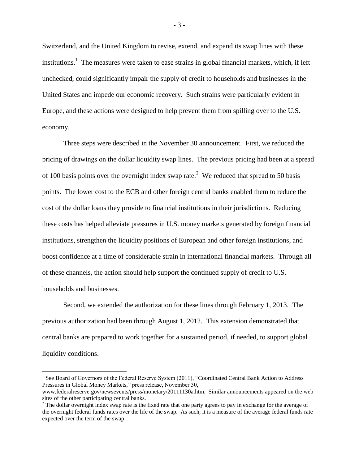Switzerland, and the United Kingdom to revise, extend, and expand its swap lines with these institutions.<sup>1</sup> The measures were taken to ease strains in global financial markets, which, if left unchecked, could significantly impair the supply of credit to households and businesses in the United States and impede our economic recovery. Such strains were particularly evident in Europe, and these actions were designed to help prevent them from spilling over to the U.S. economy.

Three steps were described in the November 30 announcement. First, we reduced the pricing of drawings on the dollar liquidity swap lines. The previous pricing had been at a spread of 100 basis points over the overnight index swap rate.<sup>2</sup> We reduced that spread to 50 basis points. The lower cost to the ECB and other foreign central banks enabled them to reduce the cost of the dollar loans they provide to financial institutions in their jurisdictions. Reducing these costs has helped alleviate pressures in U.S. money markets generated by foreign financial institutions, strengthen the liquidity positions of European and other foreign institutions, and boost confidence at a time of considerable strain in international financial markets. Through all of these channels, the action should help support the continued supply of credit to U.S. households and businesses.

Second, we extended the authorization for these lines through February 1, 2013. The previous authorization had been through August 1, 2012. This extension demonstrated that central banks are prepared to work together for a sustained period, if needed, to support global liquidity conditions.

 $\overline{a}$ 

<sup>&</sup>lt;sup>1</sup> See Board of Governors of the Federal Reserve System (2011), "Coordinated Central Bank Action to Address Pressures in Global Money Markets," press release, November 30,

www.federalreserve.gov/newsevents/press/monetary/20111130a.htm. Similar announcements appeared on the web sites of the other participating central banks.

<sup>&</sup>lt;sup>2</sup> The dollar overnight index swap rate is the fixed rate that one party agrees to pay in exchange for the average of the overnight federal funds rates over the life of the swap. As such, it is a measure of the average federal funds rate expected over the term of the swap.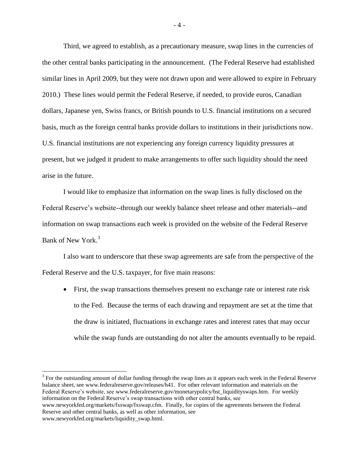Third, we agreed to establish, as a precautionary measure, swap lines in the currencies of the other central banks participating in the announcement. (The Federal Reserve had established similar lines in April 2009, but they were not drawn upon and were allowed to expire in February 2010.) These lines would permit the Federal Reserve, if needed, to provide euros, Canadian dollars, Japanese yen, Swiss francs, or British pounds to U.S. financial institutions on a secured basis, much as the foreign central banks provide dollars to institutions in their jurisdictions now. U.S. financial institutions are not experiencing any foreign currency liquidity pressures at present, but we judged it prudent to make arrangements to offer such liquidity should the need arise in the future.

I would like to emphasize that information on the swap lines is fully disclosed on the Federal Reserve's website--through our weekly balance sheet release and other materials--and information on swap transactions each week is provided on the website of the Federal Reserve Bank of New York.<sup>3</sup>

I also want to underscore that these swap agreements are safe from the perspective of the Federal Reserve and the U.S. taxpayer, for five main reasons:

 First, the swap transactions themselves present no exchange rate or interest rate risk to the Fed. Because the terms of each drawing and repayment are set at the time that the draw is initiated, fluctuations in exchange rates and interest rates that may occur while the swap funds are outstanding do not alter the amounts eventually to be repaid.

 $3$  For the outstanding amount of dollar funding through the swap lines as it appears each week in the Federal Reserve balance sheet, see www.federalreserve.gov/releases/h41. For other relevant information and materials on the Federal Reserve's website, see www.federalreserve.gov/monetarypolicy/bst\_liquidityswaps.htm. For weekly information on the Federal Reserve's swap transactions with other central banks, see www.newyorkfed.org/markets/fxswap/fxswap.cfm. Finally, for copies of the agreements between the Federal Reserve and other central banks, as well as other information, see www.newyorkfed.org/markets/liquidity\_swap.html.

 $\overline{a}$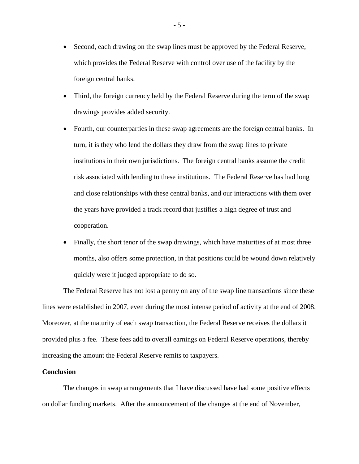- Second, each drawing on the swap lines must be approved by the Federal Reserve, which provides the Federal Reserve with control over use of the facility by the foreign central banks.
- Third, the foreign currency held by the Federal Reserve during the term of the swap drawings provides added security.
- Fourth, our counterparties in these swap agreements are the foreign central banks. In turn, it is they who lend the dollars they draw from the swap lines to private institutions in their own jurisdictions. The foreign central banks assume the credit risk associated with lending to these institutions. The Federal Reserve has had long and close relationships with these central banks, and our interactions with them over the years have provided a track record that justifies a high degree of trust and cooperation.
- Finally, the short tenor of the swap drawings, which have maturities of at most three months, also offers some protection, in that positions could be wound down relatively quickly were it judged appropriate to do so.

The Federal Reserve has not lost a penny on any of the swap line transactions since these lines were established in 2007, even during the most intense period of activity at the end of 2008. Moreover, at the maturity of each swap transaction, the Federal Reserve receives the dollars it provided plus a fee. These fees add to overall earnings on Federal Reserve operations, thereby increasing the amount the Federal Reserve remits to taxpayers.

## **Conclusion**

The changes in swap arrangements that I have discussed have had some positive effects on dollar funding markets. After the announcement of the changes at the end of November,